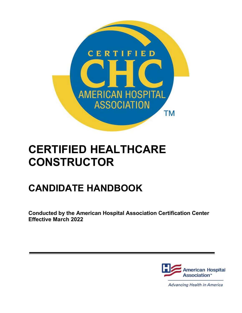

# **CERTIFIED HEALTHCARE CONSTRUCTOR**

# **CANDIDATE HANDBOOK**

**Conducted by the American Hospital Association Certification Center Effective March 2022**



**Advancing Health in America**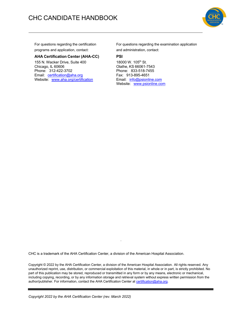

For questions regarding the certification programs and application, contact:

#### **AHA Certification Center (AHA-CC)**

155 N. Wacker Drive, Suite 400 Chicago, IL 60606 Phone: 312-422-3702 Email: [certification@aha.org](mailto:certification@aha.org) Website: www.aha.org/certification For questions regarding the examination application and administration, contact:

#### **PSI**

18000 W. 105<sup>th</sup> St. Olathe, KS 66061-7543 Phone: 833-518-7455 Fax: 913-895-4651 Email: [info@psionline.com](mailto:info@psionline.com) Website: [www.psionline.com](http://www.psionline.com/)

CHC is a trademark of the AHA Certification Center, a division of the American Hospital Association.

Copyright © 2022 by the AHA Certification Center, a division of the American Hospital Association. All rights reserved. Any unauthorized reprint, use, distribution, or commercial exploitation of this material, in whole or in part, is strictly prohibited. No part of this publication may be stored, reproduced or transmitted in any form or by any means, electronic or mechanical, including copying, recording, or by any information storage and retrieval system without express written permission from the author/publisher. For information, contact the AHA Certification Center at [certification@aha.org.](mailto:certification@aha.org)

.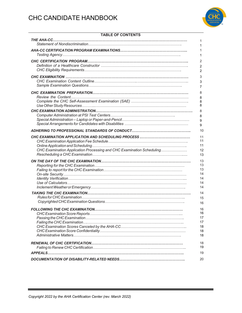# CHC CANDIDATE HANDBOOK



#### **TABLE OF CONTENTS**

|                                                                       | 1              |
|-----------------------------------------------------------------------|----------------|
|                                                                       | 1              |
|                                                                       | 1              |
|                                                                       | 1              |
|                                                                       | 2              |
|                                                                       | $\overline{2}$ |
|                                                                       | $\overline{2}$ |
|                                                                       | 3              |
|                                                                       | 3              |
|                                                                       | $\overline{7}$ |
|                                                                       | 8              |
|                                                                       | 8              |
|                                                                       | 8              |
|                                                                       | 8              |
|                                                                       | 8              |
|                                                                       | 8              |
|                                                                       | 9              |
|                                                                       | 9              |
|                                                                       | 10             |
|                                                                       | 11             |
|                                                                       | 11             |
|                                                                       | 11             |
| CHC Examination Application Processing and CHC Examination Scheduling | 12             |
|                                                                       | 13             |
|                                                                       | 13             |
|                                                                       | 13             |
|                                                                       | 13             |
|                                                                       | 14             |
|                                                                       | 14             |
|                                                                       | 14             |
|                                                                       | 14             |
|                                                                       | 14             |
|                                                                       | 15             |
|                                                                       | 16             |
|                                                                       | 16             |
| CHC Examination Score Reports                                         | 16             |
|                                                                       | 17             |
|                                                                       | 17             |
|                                                                       | 18             |
|                                                                       | 18             |
|                                                                       | 18             |
|                                                                       | 18             |
|                                                                       | 19             |
|                                                                       | 19             |
|                                                                       | 20             |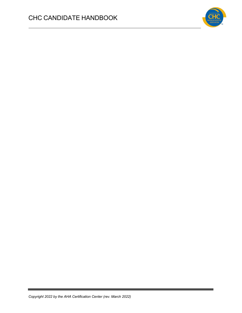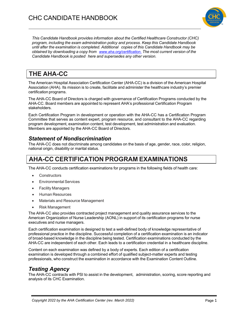

*This Candidate Handbook provides information about the Certified Healthcare Constructor (CHC) program, including the exam administration policy and process. Keep this Candidate Handbook until after the examination is completed. Additional copies of this Candidate Handbook may be obtained by downloading a copy from [www.aha.org/certification](http://www.aha.org/certification.)*. *The most current version of the Candidate Handbook is posted here and supersedes any other version.*

# **THE AHA-CC**

The American Hospital Association Certification Center (AHA-CC) is a division of the American Hospital Association (AHA). Its mission is to create, facilitate and administer the healthcare industry's premier certification programs.

The AHA-CC Board of Directors is charged with governance of Certification Programs conducted by the AHA-CC. Board members are appointed to represent AHA's professional Certification Program stakeholders.

Each Certification Program in development or operation with the AHA-CC has a Certification Program Committee that serves as content expert, program resource, and consultant to the AHA-CC regarding program development, examination content, test development, test administration and evaluation. Members are appointed by the AHA-CC Board of Directors.

# *Statement of Nondiscrimination*

The AHA-CC does not discriminate among candidates on the basis of age, gender, race, color, religion, national origin, disability or marital status.

# **AHA-CC CERTIFICATION PROGRAM EXAMINATIONS**

The AHA-CC conducts certification examinations for programs in the following fields of health care:

- **Constructors**
- **Environmental Services**
- Facility Managers
- Human Resources
- Materials and Resource Management
- Risk Management

The AHA-CC also provides contracted project management and quality assurance services to the American Organization of Nurse Leadership (AONL) in support of its certification programs for nurse executives and nurse managers.

Each certification examination is designed to test a well-defined body of knowledge representative of professional practice in the discipline. Successful completion of a certification examination is an indicator of broad-based knowledge in the discipline being tested. Certification examinations conducted by the AHA-CC are independent of each other. Each leads to a certification credential in a healthcare discipline.

Content on each examination was defined by a body of experts. Each edition of a certification examination is developed through a combined effort of qualified subject-matter experts and testing professionals, who construct the examination in accordance with the Examination Content Outline.

# *Testing Agency*

The AHA-CC contracts with PSI to assist in the development, administration, scoring, score reporting and analysis of its CHC Examination.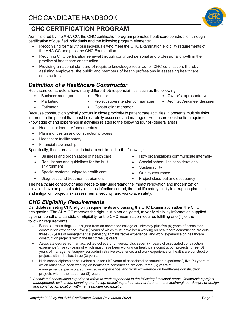# **CHC CERTIFICATION PROGRAM**

Administered by the AHA-CC, the CHC certification program promotes healthcare construction through certification of qualified individuals and the following program elements:

- Recognizing formally those individuals who meet the CHC Examination eligibility requirements of the AHA-CC and pass the CHC Examination
- Requiring CHC certification renewal through continued personal and professional growth in the practice of healthcare construction
- Providing a national standard of requisite knowledge required for CHC certification; thereby assisting employers, the public and members of health professions in assessing healthcare constructors

### *Definition of a Healthcare Constructor*

Healthcare constructors have many different job responsibilities, such as the following:

- 
- 
- Business manager Planner Owner's representative
- 
- 
- Marketing Project superintendent or manager Architect/engineer designer
- Estimator Construction manager
	-

Because construction typically occurs in close proximity to patient care activities, it presents multiple risks inherent to the patient that must be carefully assessed and managed. Healthcare construction requires knowledge of and experience in activities related to the following four (4) general areas:

- Healthcare industry fundamentals
- Planning, design and construction process
- Healthcare facility safety
- Financial stewardship

Specifically, these areas include but are not limited to the following:

- 
- Regulations and guidelines for the built environment
- Special systems unique to health care
- Diagnostic and treatment equipment Project close-out and occupancy
- Business and organization of health care How organizations communicate internally
	- Special scheduling considerations
	- Sustainability
	- Quality assurance
	-

The healthcare constructor also needs to fully understand the impact renovation and modernization activities have on patient safety, such as infection control, fire and life safety, utility interruption planning and mitigation, project risk assessments, security, and workplace safety.

### *CHC Eligibility Requirements*

Candidates meeting CHC eligibility requirements and passing the CHC Examination attain the CHC designation. The AHA-CC reserves the right, but is not obligated, to verify eligibility information supplied by or on behalf of a candidate. Eligibility for the CHC Examination requires fulfilling one (1) of the following requirements:

- Baccalaureate degree or higher from an accredited college or university plus five (5) years of associated construction experience\*, five (5) years of which must have been working on healthcare construction projects, three (3) years of management/supervisory/administrative experience, and work experience on healthcare construction projects within the last three (3) years.
- Associate degree from an accredited college or university plus seven (7) years of associated construction experience\*, five (5) years of which must have been working on healthcare construction projects, three (3) years of management/supervisory/administrative experience, and work experience on healthcare construction projects within the last three (3) years.
- High school diploma or equivalent plus ten (10) years of associated construction experience\*, five (5) years of which must have been working on healthcare construction projects, three (3) years of management/supervisory/administrative experience, and work experience on healthcare construction projects within the last three (3) years.
- *\* Associated construction experience refers to work experience in the following functional areas: Construction/project management, estimating, planning, marketing, project superintendent or foreman, architect/engineer design, or design and construction position within a healthcare organization.*

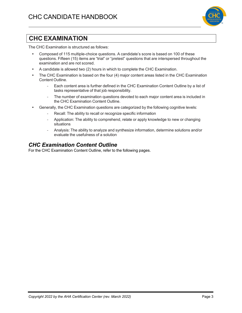

# **CHC EXAMINATION**

The CHC Examination is structured as follows:

- Composed of 115 multiple-choice questions. A candidate's score is based on 100 of these questions. Fifteen (15) items are "trial" or "pretest" questions that are interspersed throughout the examination and are not scored.
- A candidate is allowed two (2) hours in which to complete the CHC Examination.
- The CHC Examination is based on the four (4) major content areas listed in the CHC Examination Content Outline.
	- Each content area is further defined in the CHC Examination Content Outline by a list of tasks representative of that job responsibility.
	- The number of examination questions devoted to each major content area is included in the CHC Examination Content Outline.
- Generally, the CHC Examination questions are categorized by the following cognitive levels:
	- Recall: The ability to recall or recognize specific information
	- Application: The ability to comprehend, relate or apply knowledge to new or changing situations
	- Analysis: The ability to analyze and synthesize information, determine solutions and/or evaluate the usefulness of a solution

### *CHC Examination Content Outline*

For the CHC Examination Content Outline, refer to the following pages.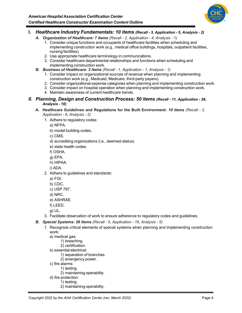

#### **I.** *Healthcare Industry Fundamentals: 10 items (Recall - 3, Application - 5, Analysis - 2)*

- *A. Organization of Healthcare: 7 items (Recall 2, Application 4, Analysis 1)*
	- 1. Consider unique functions and occupants of healthcare facilities when scheduling and implementing construction work (e.g., medical office buildings, hospitals, outpatient facilities, nursing facilities).
	- 2. Use appropriate healthcare terminology in communications.
	- 3. Consider healthcare departmental relationships and functions when scheduling and implementing construction work.
- *B. Business of Healthcare: 3 items (Recall 1, Application 1, Analysis 1)*
	- 1. Consider impact on organizational sources of revenue when planning and implementing construction work (e.g., Medicaid, Medicare, third-party payers).
	- 2. Consider organizational expense categories when planning and implementing construction work.
	- 3. Consider impact on hospital operation when planning and implementing construction work.
	- 4. Maintain awareness of current healthcare trends.
- *II. Planning, Design and Construction Process: 50 items (Recall 11, Application 29, Analysis - 10)*
	- **A. Healthcare Guidelines and Regulations for the Built Environment:** *10 items (Recall 2, Application - 6, Analysis - 2)*
		- 1. Adhere to regulatory codes:
			- a) NFPA.
			- b) model building codes.
			- c) CMS.
			- d) accrediting organizations (i.e., deemed-status).
			- e) state health codes.
			- f) OSHA.
			- g) EPA.
			- h) HIPAA.
			- i) ADA.
		- 2. Adhere to guidelines and standards:
			- a) FGI.
			- b) CDC.
			- c) USP 797.
			- d) NRC.
			- e) ASHRAE.
			- f) LEED.
			- g) UL.
		- 3. Facilitate observation of work to ensure adherence to regulatory codes and guidelines.
	- *B. Special Systems: 26 items (Recall 5, Application 16, Analysis 5)*
		- 1. Recognize critical elements of special systems when planning and implementing construction work:
			- a) medical gas:
				- 1) breaching.
				- 2) certification.
			- b) essential electrical:
				- 1) separation of branches.
				- 2) emergency power.
			- c) fire alarms:
				- 1) testing.
					- 2) maintaining operability.
			- d) fire protection:
				- 1) testing.
					- 2) maintaining operability.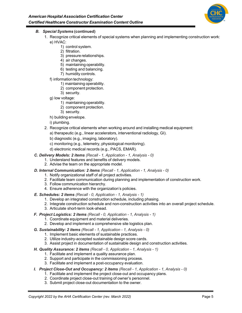

#### *B. Special Systems* **(continued)**

- 1. Recognize critical elements of special systems when planning and implementing construction work: e) HVAC:
	- 1) control system.
	- 2) filtration.
	- 3) pressure relationships.
	- 4) air changes.
	- 5) maintaining operability.
	- 6) testing and balancing.
	- 7) humidity controls.
	- f) information technology:
		- 1) maintaining operability.
		- 2) component protection.
		- 3) security.
	- g) low voltage:
		- 1) maintaining operability.
		- 2) component protection.
		- 3) security.
	- h) building envelope.

i) plumbing.

- 2. Recognize critical elements when working around and installing medical equipment:
	- a) therapeutic (e.g., linear accelerators, interventional radiology, GI).
	- b) diagnostic (e.g., imaging, laboratory).
	- c) monitoring (e.g., telemetry, physiological monitoring).
	- d) electronic medical records (e.g., PACS, EMAR).
- *C. Delivery Models: 2 items (Recall 1, Application 1, Analysis 0)*
	- 1. Understand features and benefits of delivery models.
	- 2. Advise the team on the appropriate model.
- *D. Internal Communication: 2 items (Recall 1, Application 1, Analysis 0)*
	- 1. Notify organizational staff of all project activities.
	- 2. Facilitate team communication during planning and implementation of construction work.
	- 3. Follow communication hierarchy.
	- 4. Ensure adherence with the organization's policies.
- *E. Schedules: 2 items (Recall 0, Application 1, Analysis 1)*
	- 1. Develop an integrated construction schedule, including phasing.
	- 2. Integrate construction schedule and non-construction activities into an overall project schedule.
	- 3. Articulate short-term look-ahead.
- *F. Project Logistics: 2 items (Recall 0, Application 1, Analysis 1)*
	- 1. Coordinate equipment and material deliveries.
	- 2. Develop and implement a comprehensive site logistics plan.
- *G. Sustainability: 2 items (Recall 1, Application 1, Analysis 0)*
	- 1. Implement basic elements of sustainable practices.
	- 2. Utilize industry-accepted sustainable design score cards.
	- 3. Assist project in documentation of sustainable design and construction activities.
- *H. Quality Assurance: 2 items (Recall 0, Application 1, Analysis 1)*
	- 1. Facilitate and implement a quality assurance plan.
	- 2. Support and participate in the commissioning process.
	- 3. Facilitate and implement a post-occupancy evaluation.
- *I. Project Close-Out and Occupancy: 2 items (Recall 1, Application 1, Analysis 0)*
	- 1. Facilitate and implement the project close-out and occupancy plans.
	- 2. Coordinate project close-out training of owner's personnel.
	- 3. Submit project close-out documentation to the owner.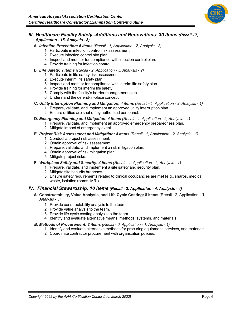

#### *III. Healthcare Facility Safety -Additions and Renovations: 30 items (Recall - 7, Application - 15, Analysis - 8)*

- **A.** *Infection Prevention: 5 items (Recall 1, Application 2, Analysis 2)*
	- 1. Participate in infection control risk assessment.
	- 2. Execute infection control site plan.
	- 3. Inspect and monitor for compliance with infection control plan.
	- 4. Provide training for infection control.
- **B.** *Life Safety: 9 items (Recall 2, Application 5, Analysis 2)*
	- 1. Participate in life safety risk assessment.
	- 2. Execute interim life safety plan.
	- 3. Inspect and monitor for compliance with interim life safety plan.
	- 4. Provide training for interim life safety.
	- 5. Comply with the facility's barrier management plan.
	- 6. Understand the defend-in-place concept.
- **C.** *Utility Interruption Planning and Mitigation: 4 items (Recall 1, Application 2, Analysis 1)*
	- 1. Prepare, validate, and implement an approved utility interruption plan.
		- 2. Ensure utilities are shut off by authorized personnel.
- **D.** *Emergency Planning and Mitigation: 4 items (Recall 1, Application 2, Analysis 1)*
	- 1. Prepare, validate, and implement an approved emergency preparedness plan.
		- 2. Mitigate impact of emergency event.

#### **E.** *Project Risk Assessment and Mitigation: 4 items (Recall - 1, Application - 2, Analysis - 1)*

- 1. Conduct a project risk assessment.
- 2. Obtain approval of risk assessment.
- 3. Prepare, validate, and implement a risk mitigation plan.
- 4. Obtain approval of risk mitigation plan.
- 5. Mitigate project risks.
- **F.** *Workplace Safety and Security: 4 items (Recall 1, Application 2, Analysis 1)*
	- 1. Prepare, validate, and implement a site safety and security plan.
	- 2. Mitigate site security breaches.
	- 3. Ensure safety requirements related to clinical occupancies are met (e.g., sharps, medical waste, isolation rooms, MRI).

#### *IV. Financial Stewardship: 10 items (Recall - 2, Application - 4, Analysis - 4)*

- **A. Constructability, Value Analysis, and Life Cycle Costing: 8 items** (Recall 2, Application *3, Analysis - 3)*
	- 1. Provide constructability analysis to the team.
	- 2. Provide value analysis to the team.
	- 3. Provide life cycle costing analysis to the team.
	- 4. Identify and evaluate alternative means, methods, systems, and materials.

#### *B. Methods of Procurement: 2 items (Recall - 0, Application - 1, Analysis - 1)*

- 1. Identify and evaluate alternative methods for procuring equipment, services, and materials.
- 2. Coordinate contractor procurement with organization policies.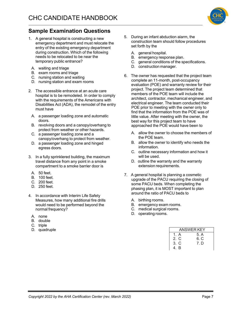

## **Sample Examination Questions**

- 1. A general hospital is constructing a new emergency department and must relocate the entry of the existing emergency department during construction. Which of the following needs to be relocated to be near the temporary public entrance?
	- A. waiting and triage
	- B. exam rooms and triage
	- C. nursing station and waiting
	- D. nursing station and exam rooms
- 2. The accessible entrance at an acute care hospital is to be remodeled. In order to comply with the requirements of the Americans with Disabilities Act (ADA), the remodel of the entry must have
	- A. a passenger loading zone and automatic doors.
	- B. revolving doors and a canopy/overhang to protect from weather or other hazards.
	- C. a passenger loading zone and a canopy/overhang to protect from weather.
	- D. a passenger loading zone and hinged egress doors.
- 3. In a fully sprinklered building, the maximum travel distance from any point in a smoke compartment to a smoke barrier door is
	- A. 50 feet.
	- B. 100 feet.
	- C. 200 feet.
	- D. 250 feet.
- 4. In accordance with Interim Life Safety Measures, how many additional fire drills would need to be performed beyond the normal frequency?
	- A. none
	- B. double
	- C. triple
	- D. quadruple
- 5. During an infant abduction alarm, the construction team should follow procedures set forth by the
	- A. general hospital.
	- B. emergency response plan.
	- C. general conditions of the specifications.
	- D. construction manager.
- 6. The owner has requested that the project team complete an 11-month, post-occupancy evaluation (POE) and warranty review for their project. The project team determined that members of the POE team will include the architect, contractor, mechanical engineer, and electrical engineer. The team conducted their POE prior to meeting with the owner only to find that the information from the POE was of little value. After meeting with the owner, the best way for this project team to have approached the POE would have been to
	- A. allow the owner to choose the members of the POE team.
	- B. allow the owner to identify who needs the information.
	- C. outline necessary information and how it will be used.
	- D. outline the warranty and the warranty extension requirements.
- 7. A general hospital is planning a cosmetic upgrade of the PACU requiring the closing of some PACU beds. When completing the phasing plan, it is MOST important to plan around the ratio of PACU beds to
	- A. birthing rooms.
	- B. emergency exam rooms.
	- C. medical surgical rooms.
	- D. operating rooms.

| <b>ANSWER KEY</b> |      |  |
|-------------------|------|--|
| 1. A              | 5. A |  |
| 2. C              | 6. C |  |
| 3. C              | 7 D  |  |
| 4 B               |      |  |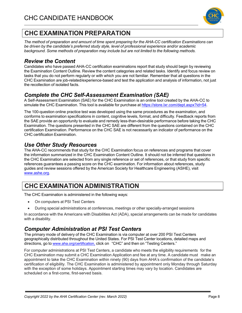

# **CHC EXAMINATION PREPARATION**

*The method of preparation and amount of time spent preparing for the AHA-CC certification Examinations can be driven by the candidate's preferred study style, level of professional experience and/or academic background. Some methods of preparation may include but are not limited to the following methods.*

## *Review the Content*

Candidates who have passed AHA-CC certification examinations report that study should begin by reviewing the Examination Content Outline. Review the content categories and related tasks. Identify and focus review on tasks that you do not perform regularly or with which you are not familiar. Remember that all questions in the CHC Examination are job-related/experience-based and test the application and analysis of information, not just the recollection of isolated facts.

# *Complete the CHC Self-Assessment Examination (SAE)*

A Self-Assessment Examination (SAE) for the CHC Examination is an online tool created by the AHA-CC to simulate the CHC Examination. This tool is available for purchase at [https://store.lxr.com/dept.aspx?id=54.](https://store.lxr.com/dept.aspx?id=54)

The 100-question online practice test was developed using the same procedures as the examination, and conforms to examination specifications in content, cognitive levels, format, and difficulty. Feedback reports from the SAE provide an opportunity to evaluate and remedy less-than-desirable performance before taking the CHC Examination. The questions presented in the CHC SAE are different from the questions contained on the CHC certification Examination. Performance on the CHC SAE is not necessarily an indicator of performance on the CHC certification Examination.

# *Use Other Study Resources*

The AHA-CC recommends that study for the CHC Examination focus on references and programs that cover the information summarized in the CHC Examination Content Outline. It should not be inferred that questions in the CHC Examination are selected from any single reference or set of references, or that study from specific references guarantees a passing score on the CHC examination. For information about references, study guides and review sessions offered by the American Society for Healthcare Engineering (ASHE), visit [www.ashe.org.](http://www.ashe.org/)

# **CHC EXAMINATION ADMINISTRATION**

The CHC Examination is administered in the following ways:

- On computers at PSI Test Centers
- During special administrations at conferences, meetings or other specially-arranged sessions

In accordance with the Americans with Disabilities Act (ADA), special arrangements can be made for candidates with a disability.

### *Computer Administration at PSI Test Centers*

The primary mode of delivery of the CHC Examination is via computer at over 200 PSI Test Centers geographically distributed throughout the United States. For PSI Test Center locations, detailed maps and directions, go to [www.aha.org/certification,](http://www.aha.org/certification,) click on "CHC" and then on "Testing Centers."

For computer administrations at PSI Test Centers, a candidate who meets the eligibility requirements for the CHC Examination may submit a CHC Examination Application and fee at any time. A candidate must make an appointment to take the CHC Examination within ninety (90) days from AHA's confirmation of the candidate's certification of eligibility. The CHC Examination is administered by appointment only Monday through Saturday with the exception of some holidays. Appointment starting times may vary by location. Candidates are scheduled on a first-come, first-served basis.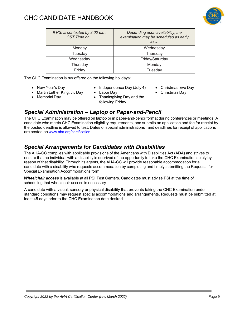# CHC CANDIDATE HANDBOOK



| If PSI is contacted by 3:00 p.m.<br>CST Time on | Depending upon availability, the<br>examination may be scheduled as early<br>as |
|-------------------------------------------------|---------------------------------------------------------------------------------|
| Monday                                          | Wednesday                                                                       |
| Tuesday                                         | Thursday                                                                        |
| Wednesday                                       | Friday/Saturday                                                                 |
| Thursday                                        | Monday                                                                          |
| Friday                                          | Tuesday                                                                         |

The CHC Examination is *not* offered on the following holidays:

- 
- New Year's Day Independence Day (July 4) Christmas Eve Day
- Martin Luther King, Jr. Day Labor Day Christmas Day
- Memorial Day  **Thanksgiving Day and the** following Friday
- 
- *Special Administration Laptop or Paper-and-Pencil*

The CHC Examination may be offered on laptop or in paper-and-pencil format during conferences or meetings. A candidate who meets CHC Examination eligibility requirements, and submits an application and fee for receipt by the posted deadline is allowed to test. Dates of special administrations and deadlines for receipt of applications are posted on [www.aha.org/certification.](http://www.aha.org/certification.) 

### *Special Arrangements for Candidates with Disabilities*

The AHA-CC complies with applicable provisions of the Americans with Disabilities Act (ADA) and strives to ensure that no individual with a disability is deprived of the opportunity to take the CHC Examination solely by reason of that disability. Through its agents, the AHA-CC will provide reasonable accommodation for a candidate with a disability who requests accommodation by completing and timely submitting the Request for Special Examination Accommodations form.

*Wheelchair access* is available at all PSI Test Centers. Candidates must advise PSI at the time of scheduling that wheelchair access is necessary.

A candidate with a visual, sensory or physical disability that prevents taking the CHC Examination under standard conditions may request special accommodations and arrangements. Requests must be submitted at least 45 days prior to the CHC Examination date desired.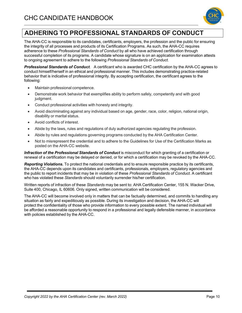

# **ADHERING TO PROFESSIONAL STANDARDS OF CONDUCT**

The AHA-CC is responsible to its candidates, certificants, employers, the profession and the public for ensuring the integrity of all processes and products of its Certification Programs. As such, the AHA-CC requires adherence to these *Professional Standards of Conduct* by all who have achieved certification through successful completion of its programs. A candidate whose signature is on an application for examination attests to ongoing agreement to adhere to the following *Professional Standards of Conduct.*

*Professional Standards of Conduct*. A certificant who is awarded CHC certification by the AHA-CC agrees to conduct himself/herself in an ethical and professional manner. This includes demonstrating practice-related behavior that is indicative of professional integrity. By accepting certification, the certificant agrees to the following:

- Maintain professional competence.
- Demonstrate work behavior that exemplifies ability to perform safely, competently and with good judgment.
- Conduct professional activities with honesty and integrity.
- Avoid discriminating against any individual based on age, gender, race, color, religion, national origin, disability or marital status.
- Avoid conflicts of interest.
- Abide by the laws, rules and regulations of duly authorized agencies regulating the profession.
- Abide by rules and regulations governing programs conducted by the AHA Certification Center.
- Not to misrepresent the credential and to adhere to the Guidelines for Use of the Certification Marks as posted on the AHA-CC website.

*Infraction of the Professional Standards of Conduct* is misconduct for which granting of a certification or renewal of a certification may be delayed or denied, or for which a certification may be revoked by the AHA-CC.

*Reporting Violations.* To protect the national credentials and to ensure responsible practice by its certificants, the AHA-CC depends upon its candidates and certificants, professionals, employers, regulatory agencies and the public to report incidents that may be in violation of these *Professional Standards of Conduct*. A certificant who has violated these *Standards* should voluntarily surrender his/her certification.

Written reports of infraction of these *Standards* may be sent to: AHA Certification Center, 155 N. Wacker Drive, Suite 400, Chicago, IL 60606. Only signed, written communication will be considered.

The AHA-CC will become involved only in matters that can be factually determined, and commits to handling any situation as fairly and expeditiously as possible. During its investigation and decision, the AHA-CC will protect the confidentiality of those who provide information to every possible extent. The named individual will be afforded a reasonable opportunity to respond in a professional and legally defensible manner, in accordance with policies established by the AHA-CC.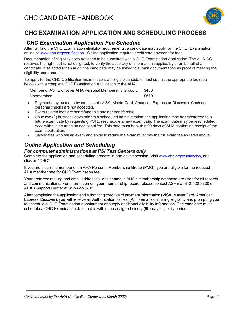

# **CHC EXAMINATION APPLICATION AND SCHEDULING PROCESS**

### *CHC Examination Application Fee Schedule*

After fulfilling the CHC Examination eligibility requirements, a candidate may apply for the CHC Examination online at www.aha.org/certification. Online application requires credit card payment for fees.

Documentation of eligibility does *not* need to be submitted with a CHC Examination Application. The AHA-CC reserves the right, but is not obligated, to verify the accuracy of information supplied by or on behalf of a candidate. If selected for an audit, the candidate may be asked to submit documentation as proof of meeting the eligibility requirements.

To apply for the CHC Certification Examination, an eligible candidate must submit the appropriate fee (see below) with a complete CHC Examination Application to the AHA.

| Member of ASHE or other AHA Personal Membership Group \$400 |  |
|-------------------------------------------------------------|--|
|                                                             |  |

- Payment may be made by credit card (VISA, MasterCard, American Express or Discover). Cash and personal checks are not accepted.
- Exam-related fees are nonrefundable and nontransferable.
- Up to two (2) business days prior to a scheduled administration, the application may be transferred to a future exam date by requesting PSI to reschedule a new exam date. The exam date may be rescheduled *once* without incurring an additional fee. This date must be within 90 days of AHA confirming receipt of the exam application.
- Candidates who fail an exam and apply to retake the exam must pay the full exam fee as listed above.

# *Online Application and Scheduling*

#### *For computer administrations at PSI Test Centers only*

Complete the application and scheduling process in one online session. Visit [www.aha.org/certification,](http://www.aha.org/certification,) and click on "CHC".

If you are a current member of an AHA Personal Membership Group (PMG), you are eligible for the reduced AHA member rate for CHC Examination fee.

Your preferred mailing and email addresses designated in AHA's membership database are used for all records and communications. For information on your membership record, please contact ASHE at 312-422-3800 or AHA's Support Center at 312-422-3702.

After completing the application and submitting credit card payment information (VISA, MasterCard, American Express, Discover), you will receive an Authorization to Test (ATT) email confirming eligibility and prompting you to schedule a CHC Examination appointment or supply additional eligibility information. The candidate must schedule a CHC Examination date that is within the assigned ninety (90)-day eligibility period.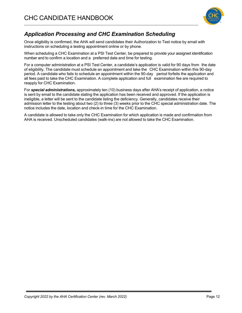

# *Application Processing and CHC Examination Scheduling*

Once eligibility is confirmed, the AHA will send candidates their Authorization to Test notice by email with instructions on scheduling a testing appointment online or by phone.

When scheduling a CHC Examination at a PSI Test Center, be prepared to provide your assigned identification number and to confirm a location and a preferred date and time for testing.

For a computer administration at a PSI Test Center, a candidate's application is valid for 90 days from the date of eligibility. The candidate must schedule an appointment and take the CHC Examination within this 90-day period. A candidate who fails to schedule an appointment within the 90-day period forfeits the application and all fees paid to take the CHC Examination. A complete application and full examination fee are required to reapply for CHC Examination.

For *special administrations,* approximately ten (10) business days after AHA's receipt of application, a notice is sent by email to the candidate stating the application has been received and approved. If the application is ineligible, a letter will be sent to the candidate listing the deficiency. Generally, candidates receive their admission letter to the testing about two (2) to three (3) weeks prior to the CHC special administration date. The notice includes the date, location and check-in time for the CHC Examination.

A candidate is allowed to take only the CHC Examination for which application is made and confirmation from AHA is received. Unscheduled candidates (walk-ins) are not allowed to take the CHC Examination.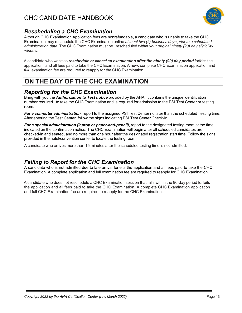

### *Rescheduling a CHC Examination*

Although CHC Examination Application fees are nonrefundable, a candidate who is unable to take the CHC Examination may reschedule the CHC Examination online *at least two (2) business days prior to a scheduled administration date*. The CHC Examination must be rescheduled *within your original ninety (90) day eligibility window.*

A candidate who wants to *reschedule or cancel an examination after the ninety (90) day period* forfeits the application and all fees paid to take the CHC Examination. A new, complete CHC Examination application and *full* examination fee are required to reapply for the CHC Examination.

# **ON THE DAY OF THE CHC EXAMINATION**

### *Reporting for the CHC Examination*

Bring with you the *Authorization to Test notice* provided by the AHA. It contains the unique identification number required to take the CHC Examination and is required for admission to the PSI Test Center or testing room.

*For a computer administration*, report to the assigned PSI Test Center no later than the scheduled testing time. After entering the Test Center, follow the signs indicating PSI Test Center Check-In.

*For a special administration (laptop or paper-and-pencil)*, report to the designated testing room at the time indicated on the confirmation notice. The CHC Examination will begin after all scheduled candidates are checked-in and seated, and no more than one hour after the designated registration start time. Follow the signs provided in the hotel/convention center to locate the testing room.

A candidate who arrives more than 15 minutes after the scheduled testing time is not admitted.

### *Failing to Report for the CHC Examination*

A candidate who is not admitted due to late arrival forfeits the application and all fees paid to take the CHC Examination. A complete application and full examination fee are required to reapply for CHC Examination.

A candidate who does not reschedule a CHC Examination session that falls within the 90-day period forfeits the application and all fees paid to take the CHC Examination. A complete CHC Examination application and full CHC Examination fee are required to reapply for the CHC Examination.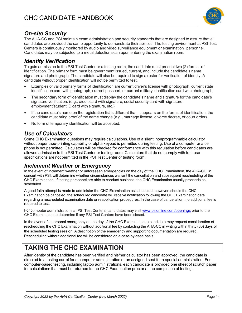

# *On-site Security*

The AHA-CC and PSI maintain exam administration and security standards that are designed to assure that all candidates are provided the same opportunity to demonstrate their abilities. The testing environment at PSI Test Centers is continuously monitored by audio and video surveillance equipment or examination personnel. Candidates may be subjected to a metal detection scan upon entering the examination room.

# *Identity Verification*

To gain admission to the PSI Test Center or a testing room, the candidate must present two (2) forms of identification. The primary form must be government issued, current, and include the candidate's name, signature and photograph. The candidate will also be required to sign a roster for verification of identity. A candidate without proper identification will not be permitted to test.

- Examples of valid primary forms of identification are current driver's license with photograph, current state identification card with photograph, current passport, or current military identification card with photograph.
- The secondary form of identification must display the candidate's name and signature for the candidate's signature verification. (e.g., credit card with signature, social security card with signature, employment/student ID card with signature, etc.)
- If the candidate's name on the registration list is different than it appears on the forms of identification, the candidate must bring proof of the name change (e.g., marriage license, divorce decree, or court order).
- No form of temporary identification will be accepted.

# *Use of Calculators*

Some CHC Examination questions may require calculations. Use of a silent, nonprogrammable calculator without paper tape-printing capability or alpha keypad is permitted during testing. Use of a computer or a cell phone is not permitted. Calculators will be checked for conformance with this regulation before candidates are allowed admission to the PSI Test Center or testing room. Calculators that do not comply with to these specifications are not permitted in the PSI Test Center or testing room.

### *Inclement Weather or Emergency*

In the event of inclement weather or unforeseen emergencies on the day of the CHC Examination, the AHA-CC, in concert with PSI, will determine whether circumstances warrant the cancellation and subsequent rescheduling of the CHC Examination. If testing personnel are able to conduct business, the CHC Examination usually proceeds as scheduled.

A good faith attempt is made to administer the CHC Examination as scheduled; however, should the CHC Examination be canceled, the scheduled candidate will receive notification following the CHC Examination date regarding a rescheduled examination date or reapplication procedures. In the case of cancellation, no additional fee is required to test.

For computer administrations at PSI Test Centers, candidates may visit [www.psionline.com/](http://www.psionline.com/)openings prior to the CHC Examination to determine if any PSI Test Centers have been closed.

In the event of a personal emergency on the day of the CHC Examination, a candidate may request consideration of rescheduling the CHC Examination without additional fee by contacting the AHA-CC in writing within thirty (30) days of the scheduled testing session. A description of the emergency and supporting documentation are required. Rescheduling without additional fee will be considered on a case-by-case basis.

# **TAKING THE CHC EXAMINATION**

After identity of the candidate has been verified and his/her calculator has been approved, the candidate is directed to a testing carrel for a computer administration or an assigned seat for a special administration. For computer-based testing, including laptop administrations, each candidate is provided one sheet of scratch paper for calculations that must be returned to the CHC Examination proctor at the completion of testing.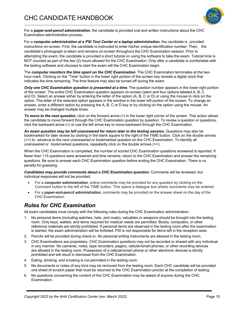

For a *paper-and-pencil administration*, the candidate is provided oral and written instructions about the CHC Examination administration process.

For a *computer administration at a PSI Test Center or a laptop administration*, the candidate is provided instructions on-screen. First, the candidate is instructed to enter his/her unique identification number. Then, the candidate's photograph is taken and remains on-screen throughout the CHC Examination session. Prior to attempting the exam, the candidate is provided a short tutorial on using the software to take the exam. Tutorial time is NOT counted as part of the two (2) hours allowed for the CHC Examination. Only after a candidate is comfortable with the testing software and chooses to start the exam will the CHC Examination begin.

The *computer monitors the time spent on the CHC Examination*. The CHC Examination terminates at the twohour mark. Clicking on the "Time" button in the lower right portion of the screen key reveals a digital clock that indicates the time remaining. The time feature may also be turned off during the exam.

*Only one CHC Examination question is presented at a time.* **The question number appears in the lower right portion** of the screen. The entire CHC Examination question appears on-screen (stem and four options labeled A, B, C and D). Select an answer either by entering the letter of the option (A, B, C or D) or using the mouse to click on the option. The letter of the selected option appears in the window in the lower left portion of the screen. To change an answer, enter a different option by pressing the A, B, C or D key or by clicking on the option using the mouse. An answer may be changed multiple times.

*To move to the next question*, click on the forward arrow (>) in the lower right corner of the screen. This action allows the candidate to move forward through the CHC Examination question by question. To review a question or questions, click the backward arrow (<) or use the left arrow key to move backward through the CHC Examination.

*An exam question may be left unanswered for return later in the testing session.* Questions may also be bookmarked for later review by clicking in the blank square to the right of the TIME button. Click on the double arrows (>>) to advance to the next unanswered or bookmarked question on the CHC Examination. To identify all unanswered or bookmarked questions, repeatedly click on the double arrows (>>).

When the CHC Examination is completed, the number of scored CHC Examination questions answered is reported. If fewer than 115 questions were answered and time remains, return to the CHC Examination and answer the remaining questions. Be sure to answer each CHC Examination question before ending the CHC Examination. There is no penalty for guessing.

*Candidates may provide comments about a CHC Examination question*. Comments will be reviewed, but individual responses will not be provided.

- For a *computer administration*, online comments may be provided for any question by clicking on the Comment button to the left of the TIME button. This opens a dialogue box where comments may be entered.
- For a *paper-and-pencil administration*, comments may be provided on the answer sheet on the day of the CHC Examination.

# *Rules for CHC Examination*

All exam candidates must comply with the following rules during the CHC Examination administration:

- 1. No personal items (including watches, hats, and coats), valuables or weapons should be brought into the testing room. Only keys, wallets, and items required for medical needs are permitted. Books, computers, or other reference materials are strictly prohibited. If personal items are observed in the testing room after the examination is started, the exam administration will be forfeited. PSI is not responsible for items left in the reception area.
- 2. Pencils will be provided during check-in. No personal writing instruments are allowed in the testing room.
- 3. CHC Examinations are proprietary. CHC Examination questions may not be recorded or shared with any individual in any manner. No cameras, notes, tape recorders, pagers, cellular/smart phones, or other recording devices are allowed in the testing room. Possession of a cellular/smart phone or other electronic devices is strictly prohibited and will result in dismissal from the CHC Examination.
- 4. Eating, drinking, and smoking is not permitted in the testing room.
- 5. No documents or notes of any kind may be removed from the testing room. Each CHC candidate will be provided one sheet of scratch paper that must be returned to the CHC Examination proctor at the completion of testing.
- 6. No questions concerning the content of the CHC Examination may be asked of anyone during the CHC Examination.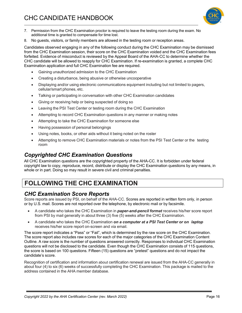

- 7. Permission from the CHC Examination proctor is required to leave the testing room during the exam. No additional time is granted to compensate for time lost.
- 8. No guests, visitors, or family members are allowed in the testing room or reception areas.

Candidates observed engaging in any of the following conduct during the CHC Examination may be dismissed from the CHC Examination session, their score on the CHC Examination voided and the CHC Examination fees forfeited. Evidence of misconduct is reviewed by the Appeal Board of the AHA-CC to determine whether the CHC candidate will be allowed to reapply for CHC Examination. If re-examination is granted, a complete CHC Examination application and full CHC Examination fee are required.

- Gaining unauthorized admission to the CHC Examination
- Creating a disturbance, being abusive or otherwise uncooperative
- Displaying and/or using electronic communications equipment including but not limited to pagers, cellular/smart phones, etc.
- Talking or participating in conversation with other CHC Examination candidates
- Giving or receiving help or being suspected of doing so
- Leaving the PSI Test Center or testing room during the CHC Examination
- Attempting to record CHC Examination questions in any manner or making notes
- Attempting to take the CHC Examination for someone else
- Having possession of personal belongings
- Using notes, books, or other aids without it being noted on the roster
- Attempting to remove CHC Examination materials or notes from the PSI Test Center or the testing room

# *Copyrighted CHC Examination Questions*

All CHC Examination questions are the copyrighted property of the AHA-CC. It is forbidden under federal copyright law to copy, reproduce, record, distribute or display the CHC Examination questions by any means, in whole or in part. Doing so may result in severe civil and criminal penalties.

# **FOLLOWING THE CHC EXAMINATION**

### *CHC Examination Score Reports*

Score reports are issued by PSI, on behalf of the AHA-CC. Scores are reported in written form only, in person or by U.S. mail. Scores are not reported over the telephone, by electronic mail or by facsimile.

- A candidate who takes the CHC Examination in *paper-and-pencil format* receives his/her score report from PSI by mail generally in about three (3) five (5) weeks after the CHC Examination.
- A candidate who takes the CHC Examination *on a computer at a PSI Test Center or on laptop* receives his/her score report on-screen and via email.

The score report indicates a "Pass" or "Fail", which is determined by the raw score on the CHC Examination. The score report also includes raw scores for each of the major categories of the CHC Examination Content Outline. A raw score is the number of questions answered correctly. Responses to individual CHC Examination questions will not be disclosed to the candidate. Even though the CHC Examination consists of 115 questions, the score is based on 100 questions. Fifteen (15) questions are "pretest" questions and do not impact the candidate's score.

Recognition of certification and information about certification renewal are issued from the AHA-CC generally in about four (4) to six (6) weeks of successfully completing the CHC Examination. This package is mailed to the address contained in the AHA member database.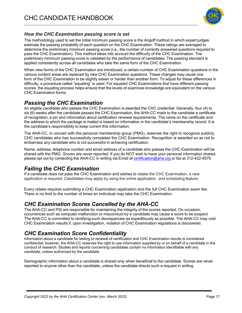

#### *How the CHC Examination passing score is set*

The methodology used to set the initial minimum passing score is the Angoff method in which expert judges estimate the passing probability of each question on the CHC Examination. These ratings are averaged to determine the preliminary minimum passing score (i.e., the number of correctly answered questions required to pass the CHC Examination). This method takes into account the difficulty of the CHC Examination. The preliminary minimum passing score is validated by the performance of candidates. The passing standard is applied consistently across all candidates who take the same form of the CHC Examination.

When new forms of the CHC Examination are introduced, a certain number of CHC Examination questions in the various content areas are replaced by new CHC Examination questions. These changes may cause one form of the CHC Examination to be slightly easier or harder than another form. To adjust for these differences in difficulty, a procedure called "equating" is used. For equated CHC Examinations that have different passing scores, the equating process helps ensure that the levels of examinee knowledge are equivalent on the various CHC Examination forms.

### *Passing the CHC Examination*

An eligible candidate who passes the CHC Examination is awarded the CHC credential. Generally, four (4) to six (6) weeks after the candidate passes the CHC Examination, the AHA-CC mails to the candidate a certificate of recognition, a pin and information about certification renewal requirements. The name on the certificate and the address to which the package is mailed is based on information in the candidate's membership record. It is the candidate's responsibility to keep current this information.

The AHA-CC, in concert with the personal membership group (PMG), reserves the right to recognize publicly CHC candidates who has successfully completed the CHC Examination. Recognition is awarded so as not to embarrass any candidate who is not successful in achieving certification.

Name, address, telephone number and email address of a candidate who passes the CHC Examination will be shared with the PMG. *Scores are never reported*. If you do NOT wish to have your personal information shared, please opt out by contacting the AHA-CC in writing via Email at [certification@aha.org](mailto:certification@aha.org) or fax at 312-422-4575.

### *Failing the CHC Examination*

If a candidate does not pass the CHC Examination and wishes to retake the CHC Examination, a new application is required. Candidates may apply by using the online application and scheduling feature.

Every retake requires submitting a CHC Examination application and the *full* CHC Examination exam fee. There is no limit to the number of times an individual may take the CHC Examination.

# *CHC Examination Scores Cancelled by the AHA-CC*

The AHA-CC and PSI are responsible for maintaining the integrity of the scores reported. On occasion, occurrences such as computer malfunction or misconduct by a candidate may cause a score to be suspect. The AHA-CC is committed to rectifying such discrepancies as expeditiously as possible. The AHA-CC may void CHC Examination results if, upon investigation, violation of CHC Examination regulations is discovered.

### *CHC Examination Score Confidentiality*

Information about a candidate for testing or renewal of certification and CHC Examination results is considered confidential; however, the AHA-CC reserves the right to use information supplied by or on behalf of a candidate in the conduct of research. Studies and reports concerning candidates contain no information identifiable with any candidate, unless authorized by the candidate.

Demographic information about a candidate is shared only when beneficial to the candidate. Scores are never reported to anyone other than the candidate, unless the candidate directs such a request in writing.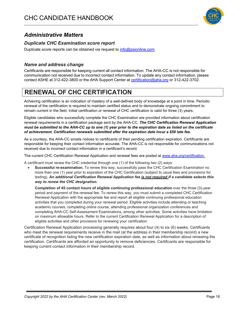

# *Administrative Matters*

#### *Duplicate CHC Examination score report*

Duplicate score reports can be obtained via request to  $info@psilon$ .com.

#### *Name and address change*

Certificants are responsible for keeping current all contact information. The AHA-CC is not responsible for communication not received due to incorrect contact information. To update any contact information, please contact ASHE at 312-422-3800 or the AHA Support Center at [certification@aha.org](mailto:certification@aha.org) or 312-422-3702.

# **RENEWAL OF CHC CERTIFICATION**

Achieving certification is an indication of mastery of a well-defined body of knowledge at a point in time. Periodic renewal of the certification is required to maintain certified status and to demonstrate ongoing commitment to remain current in the field. Initial certification or renewal of CHC certification is valid for three (3) years.

Eligible candidates who successfully complete the CHC Examination are provided information about certification renewal requirements in a certification package sent by the AHA-CC. *The CHC Certification Renewal Application must be submitted to the AHA-CC up to one (1) year prior to the expiration date as listed on the certificate of achievement. Certification renewals submitted after the expiration date incur a \$50 late fee.*

As a courtesy, the AHA-CC emails notices to certificants of their pending certification expiration. Certificants are responsible for keeping their contact information accurate. The AHA-CC is not responsible for communications not received due to incorrect contact information in a certificant's record.

The current CHC Certification Renewal Application and renewal fees are posted at [www.aha.org/certification.](http://www.aha.org/certification.) 

A certificant must renew the CHC credential through one (1) of the following two (2) ways:

• **Successful re-examination.** To renew this way, successfully pass the CHC Certification Examination no more than one (1) year prior to expiration of the CHC Certification (subject to usual fees and provisions for testing). *An additional Certification Renewal Application fee is not required if a candidate selects this way to renew the CHC designation.*

**Completion of 45 contact hours of eligible continuing professional education** over the three (3)-year period and payment of the renewal fee. To renew this way, you must submit a completed CHC Certification Renewal Application with the appropriate fee and report all eligible continuing professional education activities that you completed during your renewal period. Eligible activities include attending or teaching academic courses, completing online course, attending professional organization conferences and completing AHA-CC Self-Assessment Examinations, among other activities. Some activities have limitation on maximum allowable hours. Refer to the current Certification Renewal Application for a description of eligible activities and other provisions for renewing your certification.

Certification Renewal Application processing generally requires about four (4) to six (6) weeks. Certificants who meet the renewal requirements receive in the mail (at the address in their membership record) a new certificate of recognition listing the new certification expiration date, as well as information about renewing the certification. Certificants are afforded an opportunity to remove deficiencies. Certificants are responsible for keeping current contact information in their membership record.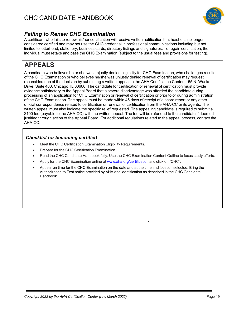

# *Failing to Renew CHC Examination*

A certificant who fails to renew his/her certification will receive written notification that he/she is no longer considered certified and may not use the CHC credential in professional communications including but not limited to letterhead, stationery, business cards, directory listings and signatures. To regain certification, the individual must retake and pass the CHC Examination (subject to the usual fees and provisions for testing).

# **APPEALS**

A candidate who believes he or she was unjustly denied eligibility for CHC Examination, who challenges results of the CHC Examination or who believes he/she was unjustly denied renewal of certification may request reconsideration of the decision by submitting a written appeal to the AHA Certification Center, 155 N. Wacker Drive, Suite 400, Chicago, IL 60606. The candidate for certification or renewal of certification must provide evidence satisfactory to the Appeal Board that a severe disadvantage was afforded the candidate during processing of an application for CHC Examination or renewal of certification or prior to or during administration of the CHC Examination. The appeal must be made within 45 days of receipt of a score report or any other official correspondence related to certification or renewal of certification from the AHA-CC or its agents. The written appeal must also indicate the specific relief requested. The appealing candidate is required to submit a \$100 fee (payable to the AHA-CC) with the written appeal. The fee will be refunded to the candidate if deemed justified through action of the Appeal Board. For additional regulations related to the appeal process, contact the AHA-CC.

### *Checklist for becoming certified*

- Meet the CHC Certification Examination Eligibility Requirements.
- Prepare for the CHC Certification Examination.
- Read the CHC Candidate Handbook fully. Use the CHC Examination Content Outline to focus study efforts.
- Apply for the CHC Examination online at [www.aha.org/certification](http://www.aha.org/certification,) and click on "CHC".
- Appear on time for the CHC Examination on the date and at the time and location selected. Bring the Authorization to Test notice provided by AHA and identification as described in the CHC Candidate Handbook.